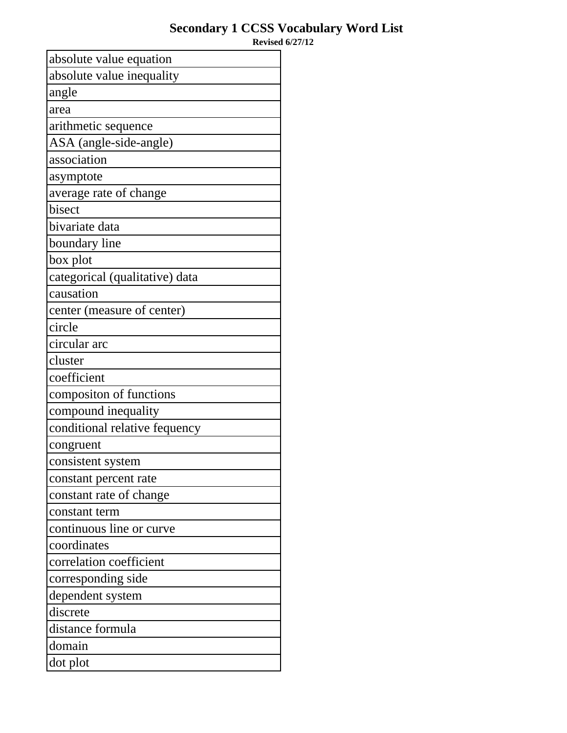| absolute value equation        |
|--------------------------------|
| absolute value inequality      |
| angle                          |
| area                           |
| arithmetic sequence            |
| ASA (angle-side-angle)         |
| association                    |
| asymptote                      |
| average rate of change         |
| bisect                         |
| bivariate data                 |
| boundary line                  |
| box plot                       |
| categorical (qualitative) data |
| causation                      |
| center (measure of center)     |
| circle                         |
| circular arc                   |
| cluster                        |
| coefficient                    |
| compositon of functions        |
| compound inequality            |
| conditional relative fequency  |
| congruent                      |
| consistent system              |
| constant percent rate          |
| constant rate of change        |
| constant term                  |
| continuous line or curve       |
| coordinates                    |
| correlation coefficient        |
| corresponding side             |
| dependent system               |
| discrete                       |
| distance formula               |
| domain                         |
| dot plot                       |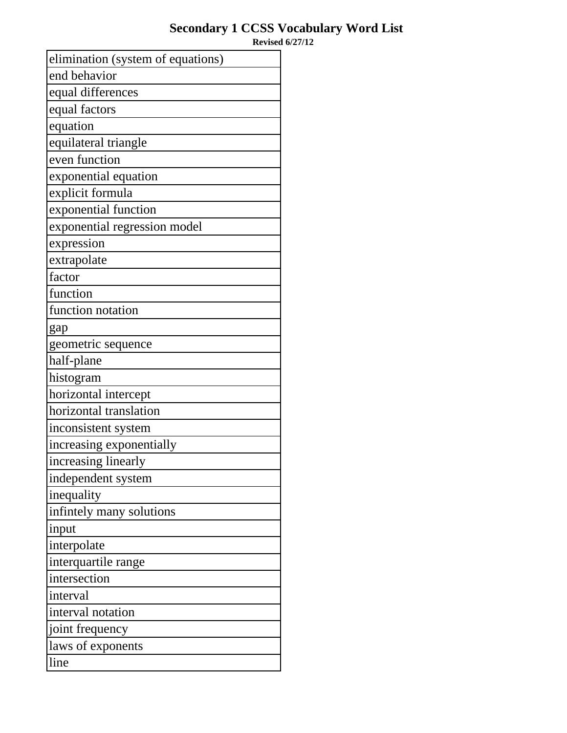| elimination (system of equations) |
|-----------------------------------|
| end behavior                      |
| equal differences                 |
| equal factors                     |
| equation                          |
| equilateral triangle              |
| even function                     |
| exponential equation              |
| explicit formula                  |
| exponential function              |
| exponential regression model      |
| expression                        |
| extrapolate                       |
| factor                            |
| function                          |
| function notation                 |
| gap                               |
| geometric sequence                |
| half-plane                        |
| histogram                         |
| horizontal intercept              |
| horizontal translation            |
| inconsistent system               |
| increasing exponentially          |
| increasing linearly               |
| independent system                |
| inequality                        |
| infintely many solutions          |
| input                             |
| interpolate                       |
| interquartile range               |
| intersection                      |
| interval                          |
| interval notation                 |
| joint frequency                   |
| laws of exponents                 |
| line                              |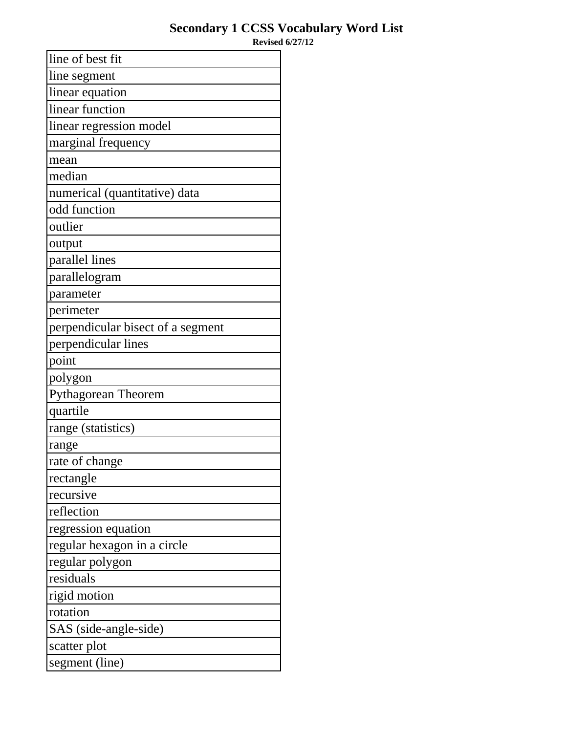| line of best fit                  |
|-----------------------------------|
| line segment                      |
| linear equation                   |
| linear function                   |
| linear regression model           |
| marginal frequency                |
| mean                              |
| median                            |
| numerical (quantitative) data     |
| odd function                      |
| outlier                           |
| output                            |
| parallel lines                    |
| parallelogram                     |
| parameter                         |
| perimeter                         |
| perpendicular bisect of a segment |
| perpendicular lines               |
| point                             |
| polygon                           |
| <b>Pythagorean Theorem</b>        |
| quartile                          |
| range (statistics)                |
| range                             |
| rate of change                    |
| rectangle                         |
| recursive                         |
| reflection                        |
| regression equation               |
| regular hexagon in a circle       |
| regular polygon                   |
| residuals                         |
| rigid motion                      |
| rotation                          |
| SAS (side-angle-side)             |
| scatter plot                      |
| segment (line)                    |